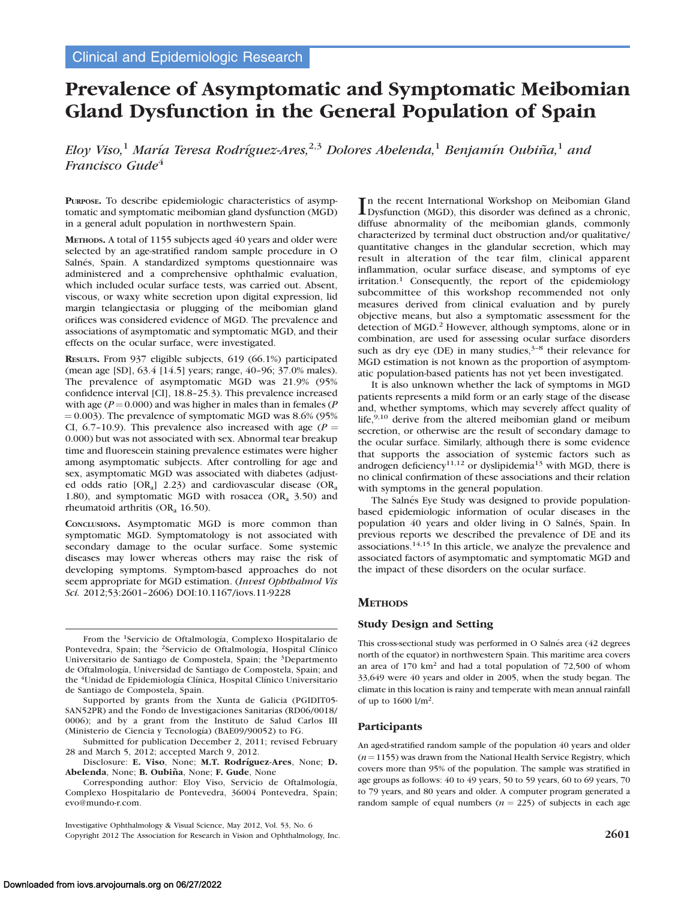# Prevalence of Asymptomatic and Symptomatic Meibomian Gland Dysfunction in the General Population of Spain

Eloy Viso,<sup>1</sup> María Teresa Rodríguez-Ares,<sup>2,3</sup> Dolores Abelenda,<sup>1</sup> Benjamín Oubiña,<sup>1</sup> and Francisco Gude<sup>4</sup>

PURPOSE. To describe epidemiologic characteristics of asymptomatic and symptomatic meibomian gland dysfunction (MGD) in a general adult population in northwestern Spain.

METHODS. A total of 1155 subjects aged 40 years and older were selected by an age-stratified random sample procedure in O Salnés, Spain. A standardized symptoms questionnaire was administered and a comprehensive ophthalmic evaluation, which included ocular surface tests, was carried out. Absent, viscous, or waxy white secretion upon digital expression, lid margin telangiectasia or plugging of the meibomian gland orifices was considered evidence of MGD. The prevalence and associations of asymptomatic and symptomatic MGD, and their effects on the ocular surface, were investigated.

RESULTS. From 937 eligible subjects, 619 (66.1%) participated (mean age [SD], 63.4 [14.5] years; range, 40–96; 37.0% males). The prevalence of asymptomatic MGD was 21.9% (95% confidence interval [CI], 18.8–25.3). This prevalence increased with age ( $P = 0.000$ ) and was higher in males than in females (P  $= 0.003$ ). The prevalence of symptomatic MGD was 8.6% (95%) CI, 6.7-10.9). This prevalence also increased with age ( $P =$ 0.000) but was not associated with sex. Abnormal tear breakup time and fluorescein staining prevalence estimates were higher among asymptomatic subjects. After controlling for age and sex, asymptomatic MGD was associated with diabetes (adjusted odds ratio  $[OR_a]$  2.23) and cardiovascular disease  $(OR_a)$ 1.80), and symptomatic MGD with rosacea  $(OR<sub>a</sub> 3.50)$  and rheumatoid arthritis (OR<sub>a</sub> 16.50).

CONCLUSIONS. Asymptomatic MGD is more common than symptomatic MGD. Symptomatology is not associated with secondary damage to the ocular surface. Some systemic diseases may lower whereas others may raise the risk of developing symptoms. Symptom-based approaches do not seem appropriate for MGD estimation. (Invest Ophthalmol Vis Sci. 2012;53:2601–2606) DOI:10.1167/iovs.11-9228

From the <sup>1</sup>Servicio de Oftalmología, Complexo Hospitalario de Pontevedra, Spain; the <sup>2</sup>Servicio de Oftalmología, Hospital Clínico Universitario de Santiago de Compostela, Spain; the 3Departmento de Oftalmología, Universidad de Santiago de Compostela, Spain; and the <sup>4</sup>Unidad de Epidemiología Clínica, Hospital Clínico Universitario de Santiago de Compostela, Spain.

Supported by grants from the Xunta de Galicia (PGIDIT05- SAN52PR) and the Fondo de Investigaciones Sanitarias (RD06/0018/ 0006); and by a grant from the Instituto de Salud Carlos III (Ministerio de Ciencia y Tecnología) (BAE09/90052) to FG.

Submitted for publication December 2, 2011; revised February 28 and March 5, 2012; accepted March 9, 2012.

Disclosure: E. Viso, None; M.T. Rodríguez-Ares, None; D. Abelenda, None; B. Oubiña, None; F. Gude, None

Corresponding author: Eloy Viso, Servicio de Oftalmología, Complexo Hospitalario de Pontevedra, 36004 Pontevedra, Spain; evo@mundo-r.com.

Investigative Ophthalmology & Visual Science, May 2012, Vol. 53, No. 6 Copyright 2012 The Association for Research in Vision and Ophthalmology, Inc. 2601

In the recent International Workshop on Meibomian Gland<br>Dysfunction (MGD), this disorder was defined as a chronic, Dysfunction (MGD), this disorder was defined as a chronic, diffuse abnormality of the meibomian glands, commonly characterized by terminal duct obstruction and/or qualitative/ quantitative changes in the glandular secretion, which may result in alteration of the tear film, clinical apparent inflammation, ocular surface disease, and symptoms of eye irritation.<sup>1</sup> Consequently, the report of the epidemiology subcommittee of this workshop recommended not only measures derived from clinical evaluation and by purely objective means, but also a symptomatic assessment for the detection of MGD.<sup>2</sup> However, although symptoms, alone or in combination, are used for assessing ocular surface disorders such as dry eye (DE) in many studies, $3-8$  their relevance for MGD estimation is not known as the proportion of asymptomatic population-based patients has not yet been investigated.

It is also unknown whether the lack of symptoms in MGD patients represents a mild form or an early stage of the disease and, whether symptoms, which may severely affect quality of life,<sup>9,10</sup> derive from the altered meibomian gland or meibum secretion, or otherwise are the result of secondary damage to the ocular surface. Similarly, although there is some evidence that supports the association of systemic factors such as androgen deficiency<sup>11,12</sup> or dyslipidemia<sup>13</sup> with MGD, there is no clinical confirmation of these associations and their relation with symptoms in the general population.

The Salnés Eye Study was designed to provide populationbased epidemiologic information of ocular diseases in the population 40 years and older living in O Salnés, Spain. In previous reports we described the prevalence of DE and its associations.14,15 In this article, we analyze the prevalence and associated factors of asymptomatic and symptomatic MGD and the impact of these disorders on the ocular surface.

## **METHODS**

## Study Design and Setting

This cross-sectional study was performed in O Salnés area (42 degrees north of the equator) in northwestern Spain. This maritime area covers an area of 170 km<sup>2</sup> and had a total population of 72,500 of whom 33,649 were 40 years and older in 2005, when the study began. The climate in this location is rainy and temperate with mean annual rainfall of up to 1600 l/m2.

## Participants

An aged-stratified random sample of the population 40 years and older  $(n=1155)$  was drawn from the National Health Service Registry, which covers more than 95% of the population. The sample was stratified in age groups as follows: 40 to 49 years, 50 to 59 years, 60 to 69 years, 70 to 79 years, and 80 years and older. A computer program generated a random sample of equal numbers ( $n = 225$ ) of subjects in each age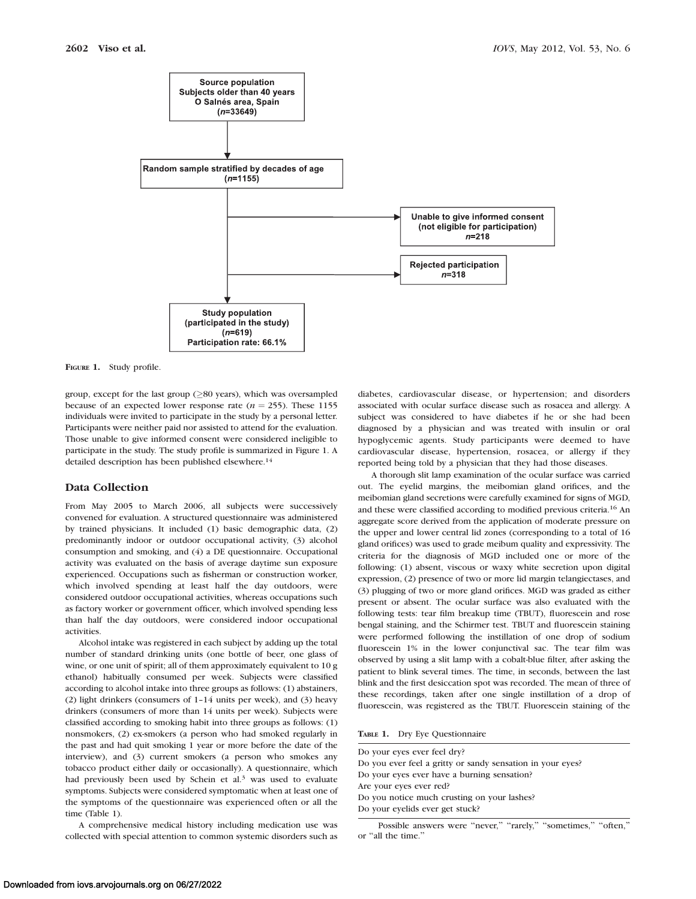

FIGURE 1. Study profile.

group, except for the last group  $(\geq 80$  years), which was oversampled because of an expected lower response rate ( $n = 255$ ). These 1155 individuals were invited to participate in the study by a personal letter. Participants were neither paid nor assisted to attend for the evaluation. Those unable to give informed consent were considered ineligible to participate in the study. The study profile is summarized in Figure 1. A detailed description has been published elsewhere.<sup>14</sup>

## Data Collection

From May 2005 to March 2006, all subjects were successively convened for evaluation. A structured questionnaire was administered by trained physicians. It included (1) basic demographic data, (2) predominantly indoor or outdoor occupational activity, (3) alcohol consumption and smoking, and (4) a DE questionnaire. Occupational activity was evaluated on the basis of average daytime sun exposure experienced. Occupations such as fisherman or construction worker, which involved spending at least half the day outdoors, were considered outdoor occupational activities, whereas occupations such as factory worker or government officer, which involved spending less than half the day outdoors, were considered indoor occupational activities.

Alcohol intake was registered in each subject by adding up the total number of standard drinking units (one bottle of beer, one glass of wine, or one unit of spirit; all of them approximately equivalent to 10 g ethanol) habitually consumed per week. Subjects were classified according to alcohol intake into three groups as follows: (1) abstainers, (2) light drinkers (consumers of 1–14 units per week), and (3) heavy drinkers (consumers of more than 14 units per week). Subjects were classified according to smoking habit into three groups as follows: (1) nonsmokers, (2) ex-smokers (a person who had smoked regularly in the past and had quit smoking 1 year or more before the date of the interview), and (3) current smokers (a person who smokes any tobacco product either daily or occasionally). A questionnaire, which had previously been used by Schein et al.<sup>3</sup> was used to evaluate symptoms. Subjects were considered symptomatic when at least one of the symptoms of the questionnaire was experienced often or all the time (Table 1).

A comprehensive medical history including medication use was collected with special attention to common systemic disorders such as diabetes, cardiovascular disease, or hypertension; and disorders associated with ocular surface disease such as rosacea and allergy. A subject was considered to have diabetes if he or she had been diagnosed by a physician and was treated with insulin or oral hypoglycemic agents. Study participants were deemed to have cardiovascular disease, hypertension, rosacea, or allergy if they reported being told by a physician that they had those diseases.

A thorough slit lamp examination of the ocular surface was carried out. The eyelid margins, the meibomian gland orifices, and the meibomian gland secretions were carefully examined for signs of MGD, and these were classified according to modified previous criteria.<sup>16</sup> An aggregate score derived from the application of moderate pressure on the upper and lower central lid zones (corresponding to a total of 16 gland orifices) was used to grade meibum quality and expressivity. The criteria for the diagnosis of MGD included one or more of the following: (1) absent, viscous or waxy white secretion upon digital expression, (2) presence of two or more lid margin telangiectases, and (3) plugging of two or more gland orifices. MGD was graded as either present or absent. The ocular surface was also evaluated with the following tests: tear film breakup time (TBUT), fluorescein and rose bengal staining, and the Schirmer test. TBUT and fluorescein staining were performed following the instillation of one drop of sodium fluorescein 1% in the lower conjunctival sac. The tear film was observed by using a slit lamp with a cobalt-blue filter, after asking the patient to blink several times. The time, in seconds, between the last blink and the first desiccation spot was recorded. The mean of three of these recordings, taken after one single instillation of a drop of fluorescein, was registered as the TBUT. Fluorescein staining of the

TABLE 1. Dry Eye Questionnaire

Do your eyes ever feel dry? Do you ever feel a gritty or sandy sensation in your eyes? Do your eyes ever have a burning sensation? Are your eyes ever red? Do you notice much crusting on your lashes? Do your eyelids ever get stuck?

Possible answers were "never," "rarely," "sometimes," "often," or ''all the time.''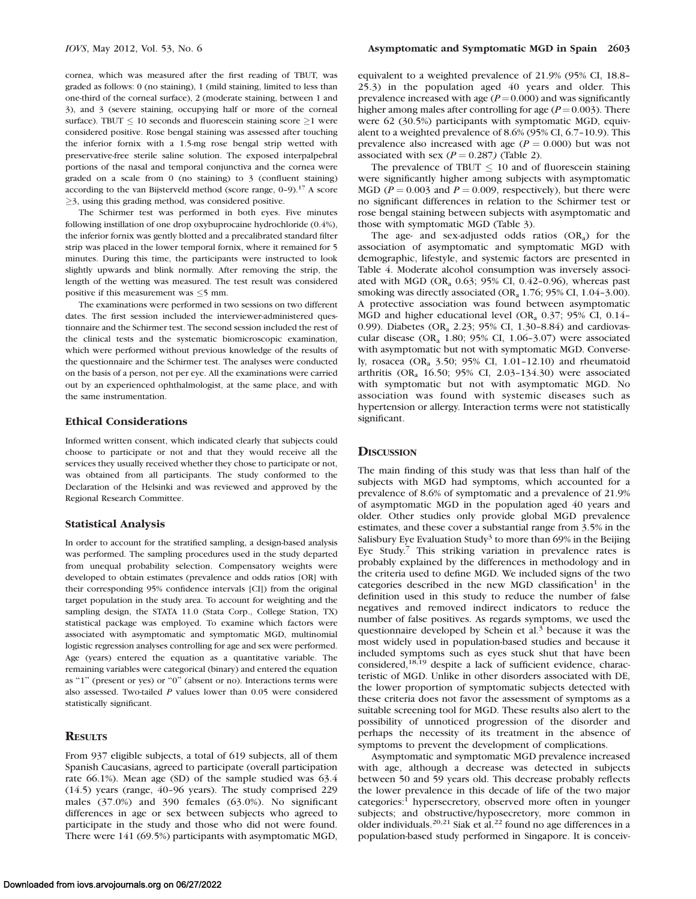cornea, which was measured after the first reading of TBUT, was graded as follows: 0 (no staining), 1 (mild staining, limited to less than one-third of the corneal surface), 2 (moderate staining, between 1 and 3), and 3 (severe staining, occupying half or more of the corneal surface). TBUT  $\leq 10$  seconds and fluorescein staining score  $\geq 1$  were considered positive. Rose bengal staining was assessed after touching the inferior fornix with a 1.5-mg rose bengal strip wetted with preservative-free sterile saline solution. The exposed interpalpebral portions of the nasal and temporal conjunctiva and the cornea were graded on a scale from 0 (no staining) to 3 (confluent staining) according to the van Bijsterveld method (score range, 0–9).17 A score  $\geq$ 3, using this grading method, was considered positive.

The Schirmer test was performed in both eyes. Five minutes following instillation of one drop oxybuprocaine hydrochloride (0.4%), the inferior fornix was gently blotted and a precalibrated standard filter strip was placed in the lower temporal fornix, where it remained for 5 minutes. During this time, the participants were instructed to look slightly upwards and blink normally. After removing the strip, the length of the wetting was measured. The test result was considered positive if this measurement was  $\leq$ 5 mm.

The examinations were performed in two sessions on two different dates. The first session included the interviewer-administered questionnaire and the Schirmer test. The second session included the rest of the clinical tests and the systematic biomicroscopic examination, which were performed without previous knowledge of the results of the questionnaire and the Schirmer test. The analyses were conducted on the basis of a person, not per eye. All the examinations were carried out by an experienced ophthalmologist, at the same place, and with the same instrumentation.

### Ethical Considerations

Informed written consent, which indicated clearly that subjects could choose to participate or not and that they would receive all the services they usually received whether they chose to participate or not, was obtained from all participants. The study conformed to the Declaration of the Helsinki and was reviewed and approved by the Regional Research Committee.

### Statistical Analysis

In order to account for the stratified sampling, a design-based analysis was performed. The sampling procedures used in the study departed from unequal probability selection. Compensatory weights were developed to obtain estimates (prevalence and odds ratios [OR] with their corresponding 95% confidence intervals [CI]) from the original target population in the study area. To account for weighting and the sampling design, the STATA 11.0 (Stata Corp., College Station, TX) statistical package was employed. To examine which factors were associated with asymptomatic and symptomatic MGD, multinomial logistic regression analyses controlling for age and sex were performed. Age (years) entered the equation as a quantitative variable. The remaining variables were categorical (binary) and entered the equation as ''1'' (present or yes) or ''0'' (absent or no). Interactions terms were also assessed. Two-tailed  $P$  values lower than 0.05 were considered statistically significant.

## **RESULTS**

From 937 eligible subjects, a total of 619 subjects, all of them Spanish Caucasians, agreed to participate (overall participation rate 66.1%). Mean age (SD) of the sample studied was 63.4 (14.5) years (range, 40–96 years). The study comprised 229 males (37.0%) and 390 females (63.0%). No significant differences in age or sex between subjects who agreed to participate in the study and those who did not were found. There were 141 (69.5%) participants with asymptomatic MGD,

equivalent to a weighted prevalence of 21.9% (95% CI, 18.8– 25.3) in the population aged 40 years and older. This prevalence increased with age  $(P=0.000)$  and was significantly higher among males after controlling for age  $(P=0.003)$ . There were 62 (30.5%) participants with symptomatic MGD, equivalent to a weighted prevalence of 8.6% (95% CI, 6.7–10.9). This prevalence also increased with age ( $P = 0.000$ ) but was not associated with sex  $(P = 0.287)$  (Table 2).

The prevalence of TBUT  $\leq 10$  and of fluorescein staining were significantly higher among subjects with asymptomatic MGD ( $P = 0.003$  and  $P = 0.009$ , respectively), but there were no significant differences in relation to the Schirmer test or rose bengal staining between subjects with asymptomatic and those with symptomatic MGD (Table 3).

The age- and sex-adjusted odds ratios  $(OR_a)$  for the association of asymptomatic and symptomatic MGD with demographic, lifestyle, and systemic factors are presented in Table 4. Moderate alcohol consumption was inversely associated with MGD (OR<sub>a</sub> 0.63; 95% CI, 0.42-0.96), whereas past smoking was directly associated (OR<sub>a</sub> 1.76; 95% CI, 1.04-3.00). A protective association was found between asymptomatic MGD and higher educational level (OR<sub>a</sub> 0.37; 95% CI, 0.14– 0.99). Diabetes (OR, 2.23; 95% CI, 1.30–8.84) and cardiovascular disease (OR<sub>a</sub> 1.80; 95% CI, 1.06-3.07) were associated with asymptomatic but not with symptomatic MGD. Conversely, rosacea (ORa 3.50; 95% CI, 1.01–12.10) and rheumatoid arthritis (OR<sub>a</sub> 16.50; 95% CI, 2.03-134.30) were associated with symptomatic but not with asymptomatic MGD. No association was found with systemic diseases such as hypertension or allergy. Interaction terms were not statistically significant.

#### **DISCUSSION**

The main finding of this study was that less than half of the subjects with MGD had symptoms, which accounted for a prevalence of 8.6% of symptomatic and a prevalence of 21.9% of asymptomatic MGD in the population aged 40 years and older. Other studies only provide global MGD prevalence estimates, and these cover a substantial range from 3.5% in the Salisbury Eye Evaluation Study<sup>3</sup> to more than 69% in the Beijing Eye Study.<sup>7</sup> This striking variation in prevalence rates is probably explained by the differences in methodology and in the criteria used to define MGD. We included signs of the two categories described in the new MGD classification<sup>1</sup> in the definition used in this study to reduce the number of false negatives and removed indirect indicators to reduce the number of false positives. As regards symptoms, we used the questionnaire developed by Schein et al.<sup>3</sup> because it was the most widely used in population-based studies and because it included symptoms such as eyes stuck shut that have been considered,18,19 despite a lack of sufficient evidence, characteristic of MGD. Unlike in other disorders associated with DE, the lower proportion of symptomatic subjects detected with these criteria does not favor the assessment of symptoms as a suitable screening tool for MGD. These results also alert to the possibility of unnoticed progression of the disorder and perhaps the necessity of its treatment in the absence of symptoms to prevent the development of complications.

Asymptomatic and symptomatic MGD prevalence increased with age, although a decrease was detected in subjects between 50 and 59 years old. This decrease probably reflects the lower prevalence in this decade of life of the two major categories:1 hypersecretory, observed more often in younger subjects; and obstructive/hyposecretory, more common in older individuals.20,21 Siak et al.<sup>22</sup> found no age differences in a population-based study performed in Singapore. It is conceiv-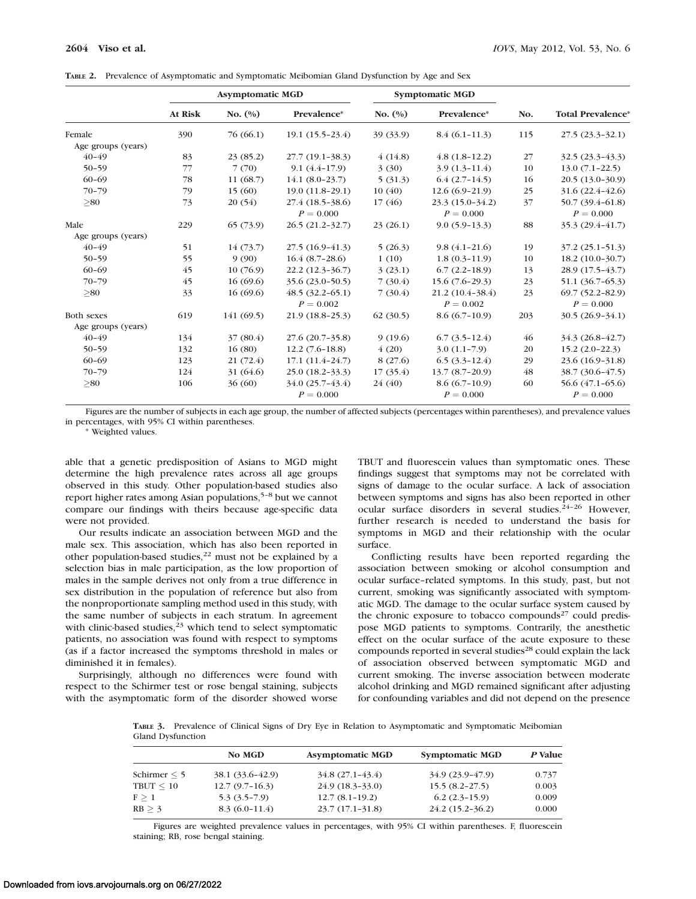|  | TABLE 2. Prevalence of Asymptomatic and Symptomatic Meibomian Gland Dysfunction by Age and Sex |  |  |  |  |  |  |  |  |  |
|--|------------------------------------------------------------------------------------------------|--|--|--|--|--|--|--|--|--|
|--|------------------------------------------------------------------------------------------------|--|--|--|--|--|--|--|--|--|

|                    | <b>Asymptomatic MGD</b> |            |                     | <b>Symptomatic MGD</b> |                   |     |                          |
|--------------------|-------------------------|------------|---------------------|------------------------|-------------------|-----|--------------------------|
|                    | At Risk                 | No. $(\%)$ | Prevalence*         | No. $(\%)$             | Prevalence*       | No. | <b>Total Prevalence*</b> |
| Female             | 390                     | 76 (66.1)  | $19.1(15.5-23.4)$   | 39 (33.9)              | $8.4(6.1-11.3)$   | 115 | $27.5(23.3-32.1)$        |
| Age groups (years) |                         |            |                     |                        |                   |     |                          |
| $40 - 49$          | 83                      | 23(85.2)   | $27.7(19.1 - 38.3)$ | 4(14.8)                | $4.8(1.8-12.2)$   | 27  | $32.5(23.3-43.3)$        |
| $50 - 59$          | 77                      | 7(70)      | $9.1(4.4-17.9)$     | 3(30)                  | $3.9(1.3-11.4)$   | 10  | $13.0(7.1-22.5)$         |
| $60 - 69$          | 78                      | 11(68.7)   | $14.1 (8.0 - 23.7)$ | 5(31.3)                | $6.4(2.7-14.5)$   | 16  | $20.5(13.0-30.9)$        |
| $70 - 79$          | 79                      | 15(60)     | $19.0(11.8-29.1)$   | 10(40)                 | $12.6(6.9-21.9)$  | 25  | $31.6(22.4 - 42.6)$      |
| > 80               | 73                      | 20(54)     | $27.4(18.5-38.6)$   | 17(46)                 | $23.3(15.0-34.2)$ | 37  | 50.7 (39.4-61.8)         |
|                    |                         |            | $P = 0.000$         |                        | $P = 0.000$       |     | $P = 0.000$              |
| Male               | 229                     | 65(73.9)   | $26.5(21.2 - 32.7)$ | 23(26.1)               | $9.0(5.9-13.3)$   | 88  | $35.3(29.4 - 41.7)$      |
| Age groups (years) |                         |            |                     |                        |                   |     |                          |
| $40 - 49$          | 51                      | 14(73.7)   | $27.5(16.9-41.3)$   | 5(26.3)                | $9.8(4.1 - 21.6)$ | 19  | $37.2(25.1 - 51.3)$      |
| $50 - 59$          | 55                      | 9(90)      | $16.4(8.7-28.6)$    | 1(10)                  | $1.8(0.3-11.9)$   | 10  | $18.2(10.0-30.7)$        |
| $60 - 69$          | 45                      | 10(76.9)   | $22.2(12.3-36.7)$   | 3(23.1)                | $6.7(2.2-18.9)$   | 13  | $28.9(17.5-43.7)$        |
| $70 - 79$          | 45                      | 16(69.6)   | $35.6(23.0 - 50.5)$ | 7(30.4)                | $15.6(7.6-29.3)$  | 23  | $51.1 (36.7 - 65.3)$     |
| > 80               | 33                      | 16(69.6)   | $48.5(32.2-65.1)$   | 7(30.4)                | $21.2(10.4-38.4)$ | 23  | $69.7(52.2 - 82.9)$      |
|                    |                         |            | $P = 0.002$         |                        | $P = 0.002$       |     | $P = 0.000$              |
| <b>Both sexes</b>  | 619                     | 141(69.5)  | $21.9(18.8-25.3)$   | 62(30.5)               | $8.6(6.7-10.9)$   | 203 | $30.5(26.9-34.1)$        |
| Age groups (years) |                         |            |                     |                        |                   |     |                          |
| $40 - 49$          | 134                     | 37(80.4)   | 27.6 (20.7-35.8)    | 9(19.6)                | $6.7(3.5-12.4)$   | 46  | $34.3(26.8-42.7)$        |
| $50 - 59$          | 132                     | 16(80)     | $12.2(7.6-18.8)$    | 4(20)                  | $3.0(1.1-7.9)$    | 20  | $15.2(2.0-22.3)$         |
| $60 - 69$          | 123                     | 21(72.4)   | $17.1(11.4-24.7)$   | 8(27.6)                | $6.5(3.3-12.4)$   | 29  | $23.6(16.9-31.8)$        |
| $70 - 79$          | 124                     | 31 (64.6)  | $25.0(18.2 - 33.3)$ | 17(35.4)               | $13.7(8.7-20.9)$  | 48  | 38.7 (30.6–47.5)         |
| > 80               | 106                     | 36(60)     | $34.0(25.7-43.4)$   | 24 (40)                | $8.6(6.7-10.9)$   | 60  | $56.6(47.1-65.6)$        |
|                    |                         |            | $P = 0.000$         |                        | $P = 0.000$       |     | $P = 0.000$              |

Figures are the number of subjects in each age group, the number of affected subjects (percentages within parentheses), and prevalence values in percentages, with 95% CI within parentheses.

\* Weighted values.

able that a genetic predisposition of Asians to MGD might determine the high prevalence rates across all age groups observed in this study. Other population-based studies also report higher rates among Asian populations,<sup>5-8</sup> but we cannot compare our findings with theirs because age-specific data were not provided.

Our results indicate an association between MGD and the male sex. This association, which has also been reported in other population-based studies,<sup>22</sup> must not be explained by a selection bias in male participation, as the low proportion of males in the sample derives not only from a true difference in sex distribution in the population of reference but also from the nonproportionate sampling method used in this study, with the same number of subjects in each stratum. In agreement with clinic-based studies, $23$  which tend to select symptomatic patients, no association was found with respect to symptoms (as if a factor increased the symptoms threshold in males or diminished it in females).

Surprisingly, although no differences were found with respect to the Schirmer test or rose bengal staining, subjects with the asymptomatic form of the disorder showed worse TBUT and fluorescein values than symptomatic ones. These findings suggest that symptoms may not be correlated with signs of damage to the ocular surface. A lack of association between symptoms and signs has also been reported in other ocular surface disorders in several studies.<sup>24-26</sup> However, further research is needed to understand the basis for symptoms in MGD and their relationship with the ocular surface.

Conflicting results have been reported regarding the association between smoking or alcohol consumption and ocular surface–related symptoms. In this study, past, but not current, smoking was significantly associated with symptomatic MGD. The damage to the ocular surface system caused by the chronic exposure to tobacco compounds<sup>27</sup> could predispose MGD patients to symptoms. Contrarily, the anesthetic effect on the ocular surface of the acute exposure to these compounds reported in several studies<sup>28</sup> could explain the lack of association observed between symptomatic MGD and current smoking. The inverse association between moderate alcohol drinking and MGD remained significant after adjusting for confounding variables and did not depend on the presence

TABLE 3. Prevalence of Clinical Signs of Dry Eye in Relation to Asymptomatic and Symptomatic Meibomian Gland Dysfunction

|                   | No MGD           | <b>Asymptomatic MGD</b> | <b>Symptomatic MGD</b> | P Value |
|-------------------|------------------|-------------------------|------------------------|---------|
| Schirmer $\leq 5$ | 38.1 (33.6–42.9) | $34.8(27.1-43.4)$       | $34.9(23.9-47.9)$      | 0.737   |
| $T$ BUT $\leq 10$ | $12.7(9.7-16.3)$ | $24.9(18.3-33.0)$       | $15.5(8.2-27.5)$       | 0.003   |
| $F \geq 1$        | $5.3(3.5-7.9)$   | $12.7(8.1-19.2)$        | $6.2(2.3-15.9)$        | 0.009   |
| RB > 3            | $8.3(6.0-11.4)$  | $23.7(17.1-31.8)$       | $24.2(15.2 - 36.2)$    | 0.000   |

Figures are weighted prevalence values in percentages, with 95% CI within parentheses. F, fluorescein staining; RB, rose bengal staining.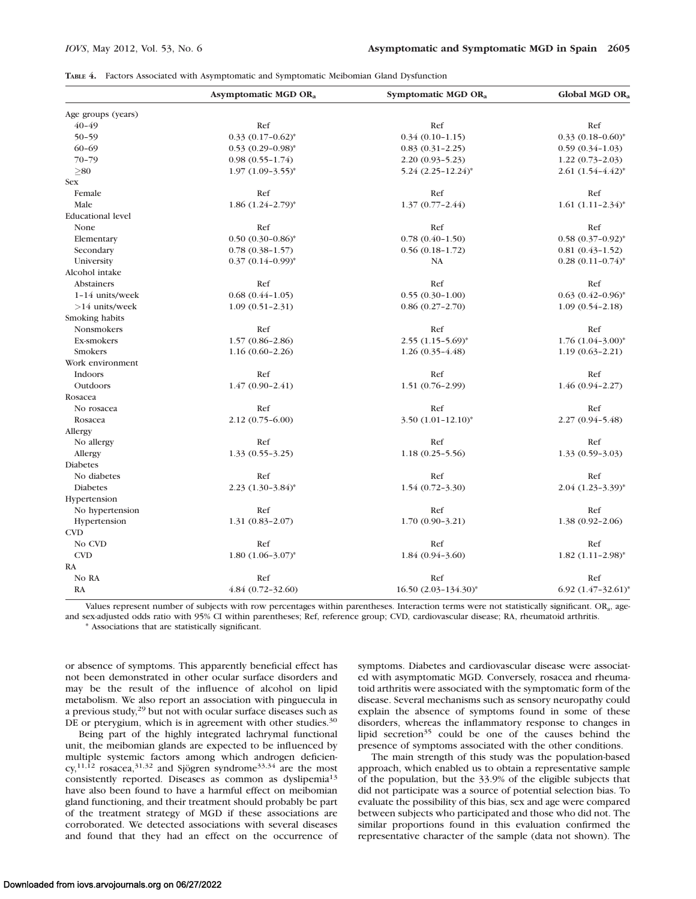|  |  |  |  | TABLE 4. Factors Associated with Asymptomatic and Symptomatic Meibomian Gland Dysfunction |  |  |  |  |  |  |
|--|--|--|--|-------------------------------------------------------------------------------------------|--|--|--|--|--|--|
|--|--|--|--|-------------------------------------------------------------------------------------------|--|--|--|--|--|--|

|                          | Asymptomatic MGD OR <sub>a</sub>  | Symptomatic MGD OR <sub>a</sub> | Global MGD OR <sub>a</sub>        |
|--------------------------|-----------------------------------|---------------------------------|-----------------------------------|
| Age groups (years)       |                                   |                                 |                                   |
| $40 - 49$                | Ref                               | Ref                             | Ref                               |
| $50 - 59$                | $0.33$ $(0.17 - 0.62)^*$          | $0.34(0.10-1.15)$               | $0.33$ $(0.18 - 0.60)^*$          |
| $60 - 69$                | $0.53$ $(0.29 - 0.98)^*$          | $0.83(0.31 - 2.25)$             | $0.59(0.34-1.03)$                 |
| $70 - 79$                | $0.98(0.55 - 1.74)$               | $2.20(0.93 - 5.23)$             | $1.22(0.73-2.03)$                 |
| $\geq 80$                | $1.97(1.09-3.55)^{*}$             | 5.24 (2.25-12.24)*              | $2.61(1.54-4.42)^*$               |
| <b>Sex</b>               |                                   |                                 |                                   |
| Female                   | Ref                               | Ref                             | Ref                               |
| Male                     | $1.86$ $(1.24 - 2.79)^*$          | $1.37(0.77 - 2.44)$             | $1.61 (1.11 - 2.34)^*$            |
| <b>Educational level</b> |                                   |                                 |                                   |
| None                     | Ref                               | Ref                             | Ref                               |
| Elementary               | $0.50(0.30-0.86)^*$               | $0.78(0.40 - 1.50)$             | $0.58$ $(0.37-0.92)$ <sup>*</sup> |
| Secondary                | $0.78(0.38 - 1.57)$               | $0.56(0.18-1.72)$               | $0.81(0.43-1.52)$                 |
| University               | $0.37(0.14-0.99)^{*}$             | NA                              | $0.28$ $(0.11-0.74)^*$            |
| Alcohol intake           |                                   |                                 |                                   |
| <b>Abstainers</b>        | Ref                               | Ref                             | Ref                               |
| $1-14$ units/week        | $0.68(0.44 - 1.05)$               | $0.55(0.30-1.00)$               | $0.63$ $(0.42 - 0.96)^*$          |
| $>14$ units/week         | $1.09(0.51 - 2.31)$               | $0.86(0.27 - 2.70)$             | $1.09(0.54 - 2.18)$               |
| Smoking habits           |                                   |                                 |                                   |
| <b>Nonsmokers</b>        | Ref                               | Ref                             | Ref                               |
| Ex-smokers               | $1.57(0.86 - 2.86)$               | $2.55$ $(1.15 - 5.69)^*$        | $1.76$ $(1.04 - 3.00)^*$          |
| Smokers                  | $1.16(0.60 - 2.26)$               | $1.26(0.35-4.48)$               | $1.19(0.63 - 2.21)$               |
| Work environment         |                                   |                                 |                                   |
| Indoors                  | Ref                               | Ref                             | Ref                               |
| Outdoors                 | $1.47(0.90-2.41)$                 | $1.51(0.76-2.99)$               | 1.46 (0.94-2.27)                  |
| Rosacea                  |                                   |                                 |                                   |
| No rosacea               | Ref                               | Ref                             | Ref                               |
| Rosacea                  | $2.12(0.75-6.00)$                 | $3.50 (1.01 - 12.10)^*$         | $2.27(0.94 - 5.48)$               |
| Allergy                  |                                   |                                 |                                   |
| No allergy               | Ref                               | Ref                             | Ref                               |
| Allergy                  | $1.33(0.55 - 3.25)$               | $1.18(0.25 - 5.56)$             | $1.33(0.59-3.03)$                 |
| <b>Diabetes</b>          |                                   |                                 |                                   |
| No diabetes              | Ref                               | Ref                             | Ref                               |
| Diabetes                 | $2.23$ $(1.30-3.84)$ <sup>*</sup> | $1.54(0.72 - 3.30)$             | $2.04 (1.23 - 3.39)^*$            |
| Hypertension             |                                   |                                 |                                   |
| No hypertension          | Ref                               | Ref                             | Ref                               |
| Hypertension             | $1.31(0.83 - 2.07)$               | $1.70(0.90-3.21)$               | $1.38(0.92 - 2.06)$               |
| <b>CVD</b>               |                                   |                                 |                                   |
| No CVD                   | Ref                               | Ref                             | Ref                               |
| <b>CVD</b>               | $1.80 (1.06 - 3.07)^*$            | $1.84(0.94-3.60)$               | $1.82$ $(1.11 - 2.98)^*$          |
| RA                       |                                   |                                 |                                   |
| No RA                    | Ref                               | Ref                             | Ref                               |
| RA                       | $4.84(0.72 - 32.60)$              | $16.50 (2.03 - 134.30)^*$       | 6.92 $(1.47 - 32.61)^*$           |

Values represent number of subjects with row percentages within parentheses. Interaction terms were not statistically significant. ORa, ageand sex-adjusted odds ratio with 95% CI within parentheses; Ref, reference group; CVD, cardiovascular disease; RA, rheumatoid arthritis. \* Associations that are statistically significant.

or absence of symptoms. This apparently beneficial effect has not been demonstrated in other ocular surface disorders and may be the result of the influence of alcohol on lipid metabolism. We also report an association with pinguecula in a previous study,29 but not with ocular surface diseases such as DE or pterygium, which is in agreement with other studies.<sup>30</sup>

Being part of the highly integrated lachrymal functional unit, the meibomian glands are expected to be influenced by multiple systemic factors among which androgen deficien $cy, ^{11,12}$  rosacea,<sup>31,32</sup> and Sjögren syndrome<sup>33,34</sup> are the most consistently reported. Diseases as common as dyslipemia<sup>13</sup> have also been found to have a harmful effect on meibomian gland functioning, and their treatment should probably be part of the treatment strategy of MGD if these associations are corroborated. We detected associations with several diseases and found that they had an effect on the occurrence of symptoms. Diabetes and cardiovascular disease were associated with asymptomatic MGD. Conversely, rosacea and rheumatoid arthritis were associated with the symptomatic form of the disease. Several mechanisms such as sensory neuropathy could explain the absence of symptoms found in some of these disorders, whereas the inflammatory response to changes in lipid secretion $35$  could be one of the causes behind the presence of symptoms associated with the other conditions.

The main strength of this study was the population-based approach, which enabled us to obtain a representative sample of the population, but the 33.9% of the eligible subjects that did not participate was a source of potential selection bias. To evaluate the possibility of this bias, sex and age were compared between subjects who participated and those who did not. The similar proportions found in this evaluation confirmed the representative character of the sample (data not shown). The